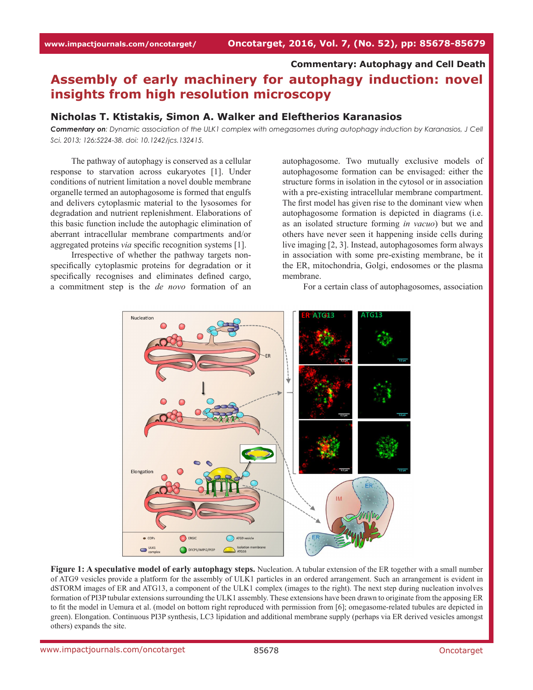# **Commentary: Autophagy and Cell Death**

# **Assembly of early machinery for autophagy induction: novel insights from high resolution microscopy**

### **Nicholas T. Ktistakis, Simon A. Walker and Eleftherios Karanasios**

*Commentary on: Dynamic association of the ULK1 complex with omegasomes during autophagy induction by Karanasios, J Cell Sci. 2013; 126:5224-38. doi: 10.1242/jcs.132415.*

The pathway of autophagy is conserved as a cellular response to starvation across eukaryotes [1]. Under conditions of nutrient limitation a novel double membrane organelle termed an autophagosome is formed that engulfs and delivers cytoplasmic material to the lysosomes for degradation and nutrient replenishment. Elaborations of this basic function include the autophagic elimination of aberrant intracellular membrane compartments and/or aggregated proteins *via* specific recognition systems [1].

Irrespective of whether the pathway targets nonspecifically cytoplasmic proteins for degradation or it specifically recognises and eliminates defined cargo, a commitment step is the *de novo* formation of an

autophagosome. Two mutually exclusive models of autophagosome formation can be envisaged: either the structure forms in isolation in the cytosol or in association with a pre-existing intracellular membrane compartment. The first model has given rise to the dominant view when autophagosome formation is depicted in diagrams (i.e. as an isolated structure forming *in vacuo*) but we and others have never seen it happening inside cells during live imaging [2, 3]. Instead, autophagosomes form always in association with some pre-existing membrane, be it the ER, mitochondria, Golgi, endosomes or the plasma membrane.

For a certain class of autophagosomes, association



**Figure 1: A speculative model of early autophagy steps.** Nucleation. A tubular extension of the ER together with a small number of ATG9 vesicles provide a platform for the assembly of ULK1 particles in an ordered arrangement. Such an arrangement is evident in dSTORM images of ER and ATG13, a component of the ULK1 complex (images to the right). The next step during nucleation involves formation of PI3P tubular extensions surrounding the ULK1 assembly. These extensions have been drawn to originate from the apposing ER to fit the model in Uemura et al. (model on bottom right reproduced with permission from [6]; omegasome-related tubules are depicted in green). Elongation. Continuous PI3P synthesis, LC3 lipidation and additional membrane supply (perhaps via ER derived vesicles amongst others) expands the site.